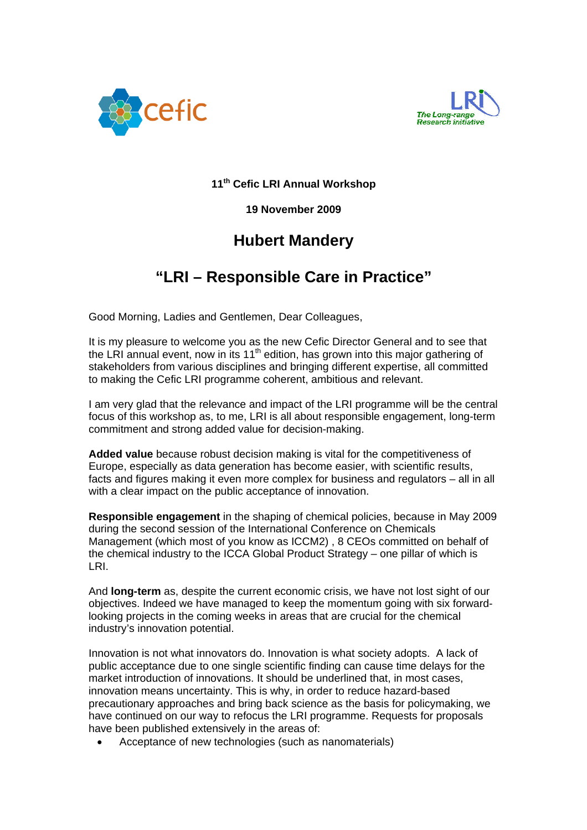



**11th Cefic LRI Annual Workshop** 

**19 November 2009** 

## **Hubert Mandery**

## **"LRI – Responsible Care in Practice"**

Good Morning, Ladies and Gentlemen, Dear Colleagues,

It is my pleasure to welcome you as the new Cefic Director General and to see that the LRI annual event, now in its 11<sup>th</sup> edition, has grown into this major gathering of stakeholders from various disciplines and bringing different expertise, all committed to making the Cefic LRI programme coherent, ambitious and relevant.

I am very glad that the relevance and impact of the LRI programme will be the central focus of this workshop as, to me, LRI is all about responsible engagement, long-term commitment and strong added value for decision-making.

**Added value** because robust decision making is vital for the competitiveness of Europe, especially as data generation has become easier, with scientific results, facts and figures making it even more complex for business and regulators – all in all with a clear impact on the public acceptance of innovation.

**Responsible engagement** in the shaping of chemical policies, because in May 2009 during the second session of the International Conference on Chemicals Management (which most of you know as ICCM2) , 8 CEOs committed on behalf of the chemical industry to the ICCA Global Product Strategy – one pillar of which is LRI.

And **long-term** as, despite the current economic crisis, we have not lost sight of our objectives. Indeed we have managed to keep the momentum going with six forwardlooking projects in the coming weeks in areas that are crucial for the chemical industry's innovation potential.

Innovation is not what innovators do. Innovation is what society adopts. A lack of public acceptance due to one single scientific finding can cause time delays for the market introduction of innovations. It should be underlined that, in most cases, innovation means uncertainty. This is why, in order to reduce hazard-based precautionary approaches and bring back science as the basis for policymaking, we have continued on our way to refocus the LRI programme. Requests for proposals have been published extensively in the areas of:

• Acceptance of new technologies (such as nanomaterials)